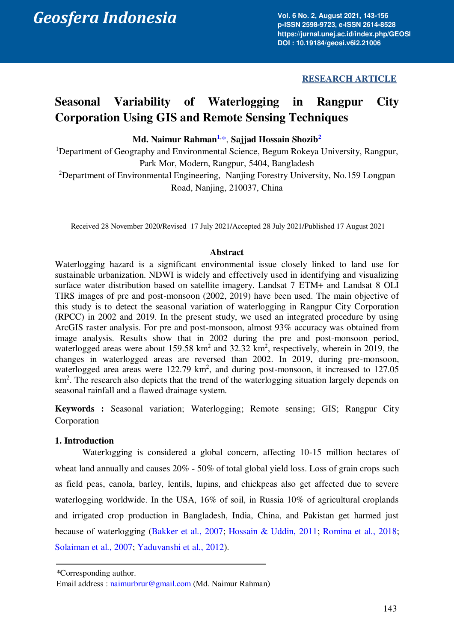**Vol. 6 No. 2, August 2021, 143-156 p-ISSN 2598-9723, e-ISSN 2614-8528 https://jurnal.unej.ac.id/index.php/GEOSI DOI : 10.19184/geosi.v6i2.21006**

# **RESEARCH ARTICLE**

# **Seasonal Variability of Waterlogging in Rangpur City Corporation Using GIS and Remote Sensing Techniques**

# **Md. Naimur Rahman[1](#page-0-0)**, [\\*,](#page-0-1) **Sajjad Hossain Shozib[2](#page-0-2)**

<span id="page-0-2"></span><span id="page-0-0"></span><sup>1</sup>Department of Geography and Environmental Science, Begum Rokeya University, Rangpur, Park Mor, Modern, Rangpur, 5404, Bangladesh <sup>2</sup>Department of Environmental Engineering, Nanjing Forestry University, No.159 Longpan Road, Nanjing, 210037, China

Received 28 November 2020/Revised 17 July 2021/Accepted 28 July 2021/Published 17 August 2021

#### **Abstract**

Waterlogging hazard is a significant environmental issue closely linked to land use for sustainable urbanization. NDWI is widely and effectively used in identifying and visualizing surface water distribution based on satellite imagery. Landsat 7 ETM+ and Landsat 8 OLI TIRS images of pre and post-monsoon (2002, 2019) have been used. The main objective of this study is to detect the seasonal variation of waterlogging in Rangpur City Corporation (RPCC) in 2002 and 2019. In the present study, we used an integrated procedure by using ArcGIS raster analysis. For pre and post-monsoon, almost 93% accuracy was obtained from image analysis. Results show that in 2002 during the pre and post-monsoon period, waterlogged areas were about  $159.58 \text{ km}^2$  and  $32.32 \text{ km}^2$ , respectively, wherein in 2019, the changes in waterlogged areas are reversed than 2002. In 2019, during pre-monsoon, waterlogged area areas were  $122.79 \text{ km}^2$ , and during post-monsoon, it increased to  $127.05$ km<sup>2</sup>. The research also depicts that the trend of the waterlogging situation largely depends on seasonal rainfall and a flawed drainage system.

**Keywords :** Seasonal variation; Waterlogging; Remote sensing; GIS; Rangpur City Corporation

# **1. Introduction**

Waterlogging is considered a global concern, affecting 10-15 million hectares of wheat land annually and causes  $20\%$  - 50% of total global yield loss. Loss of grain crops such as field peas, canola, barley, lentils, lupins, and chickpeas also get affected due to severe waterlogging worldwide. In the USA, 16% of soil, in Russia 10% of agricultural croplands and irrigated crop production in Bangladesh, India, China, and Pakistan get harmed just because of waterlogging [\(Bakker et al., 2007;](#page-10-0) [Hossain & Uddin, 2011;](#page-11-0) [Romina et al., 2018;](#page-12-0) [Solaiman et al., 2007;](#page-12-1) [Yaduvanshi et al., 2012\)](#page-13-0).

<span id="page-0-1"></span><sup>\*</sup>Corresponding author. \*Corresponding author.

Email address : [naimurbrur@gmail.com](mailto:01naimur@gmail.com) (Md. Naimur Rahman**)** Email address : [naimurbrur@gmail.com](mailto:01naimur@gmail.com) (Md. Naimur Rahman**)**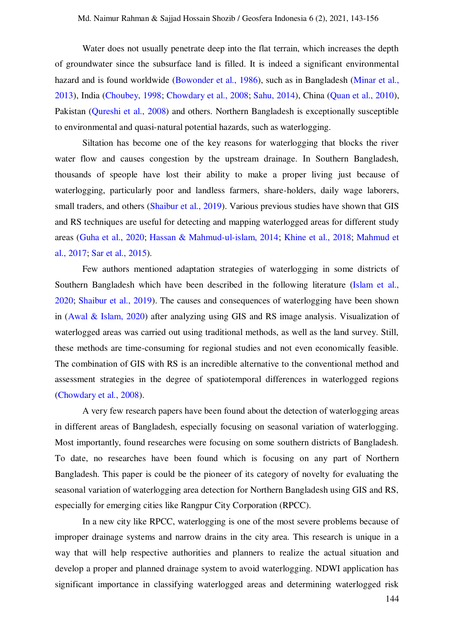Water does not usually penetrate deep into the flat terrain, which increases the depth of groundwater since the subsurface land is filled. It is indeed a significant environmental hazard and is found worldwide [\(Bowonder et al., 1986\),](#page-10-1) such as in Bangladesh (Minar et al., [2013\)](#page-11-1), India [\(Choubey, 1998;](#page-10-2) [Chowdary et al., 2008;](#page-10-3) [Sahu, 2014\)](#page-12-2), China [\(Quan et al., 2010\)](#page-12-3), Pakistan [\(Qureshi et al., 2008\)](#page-12-4) and others. Northern Bangladesh is exceptionally susceptible to environmental and quasi-natural potential hazards, such as waterlogging.

Siltation has become one of the key reasons for waterlogging that blocks the river water flow and causes congestion by the upstream drainage. In Southern Bangladesh, thousands of speople have lost their ability to make a proper living just because of waterlogging, particularly poor and landless farmers, share-holders, daily wage laborers, small traders, and others [\(Shaibur et al., 2019\).](#page-12-5) Various previous studies have shown that GIS and RS techniques are useful for detecting and mapping waterlogged areas for different study areas [\(Guha et al., 2020;](#page-10-4) [Hassan & Mahmud-ul-islam, 2014;](#page-11-2) [Khine et al., 2018;](#page-11-3) [Mahmud et](#page-11-4)  [al., 2017;](#page-11-4) [Sar et al., 2015\)](#page-12-6).

Few authors mentioned adaptation strategies of waterlogging in some districts of Southern Bangladesh which have been described in the following literature (Islam et al., [2020;](#page-11-5) [Shaibur et al., 2019\)](#page-12-5). The causes and consequences of waterlogging have been shown in [\(Awal & Islam, 2020\)](#page-10-5) after analyzing using GIS and RS image analysis. Visualization of waterlogged areas was carried out using traditional methods, as well as the land survey. Still, these methods are time-consuming for regional studies and not even economically feasible. The combination of GIS with RS is an incredible alternative to the conventional method and assessment strategies in the degree of spatiotemporal differences in waterlogged regions [\(Chowdary et al., 2008\).](#page-10-3)

A very few research papers have been found about the detection of waterlogging areas in different areas of Bangladesh, especially focusing on seasonal variation of waterlogging. Most importantly, found researches were focusing on some southern districts of Bangladesh. To date, no researches have been found which is focusing on any part of Northern Bangladesh. This paper is could be the pioneer of its category of novelty for evaluating the seasonal variation of waterlogging area detection for Northern Bangladesh using GIS and RS, especially for emerging cities like Rangpur City Corporation (RPCC).

In a new city like RPCC, waterlogging is one of the most severe problems because of improper drainage systems and narrow drains in the city area. This research is unique in a way that will help respective authorities and planners to realize the actual situation and develop a proper and planned drainage system to avoid waterlogging. NDWI application has significant importance in classifying waterlogged areas and determining waterlogged risk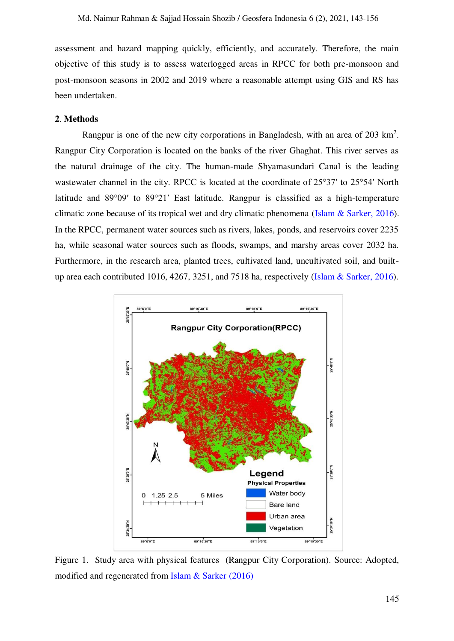assessment and hazard mapping quickly, efficiently, and accurately. Therefore, the main objective of this study is to assess waterlogged areas in RPCC for both pre-monsoon and post-monsoon seasons in 2002 and 2019 where a reasonable attempt using GIS and RS has been undertaken.

#### **2**. **Methods**

Rangpur is one of the new city corporations in Bangladesh, with an area of 203 km<sup>2</sup>. Rangpur City Corporation is located on the banks of the river Ghaghat. This river serves as the natural drainage of the city. The human-made Shyamasundari Canal is the leading wastewater channel in the city. RPCC is located at the coordinate of 25°37′ to 25°54′ North latitude and 89°09′ to 89°21′ East latitude. Rangpur is classified as a high-temperature climatic zone because of its tropical wet and dry climatic phenomena [\(Islam & Sarker, 2016\).](#page-11-6) In the RPCC, permanent water sources such as rivers, lakes, ponds, and reservoirs cover 2235 ha, while seasonal water sources such as floods, swamps, and marshy areas cover 2032 ha. Furthermore, in the research area, planted trees, cultivated land, uncultivated soil, and builtup area each contributed 1016, 4267, 3251, and 7518 ha, respectively [\(Islam & Sarker, 2016\).](#page-11-6)



Figure 1. Study area with physical features (Rangpur City Corporation). Source: Adopted, modified and regenerated from [Islam & Sarker \(2016\)](#page-11-6)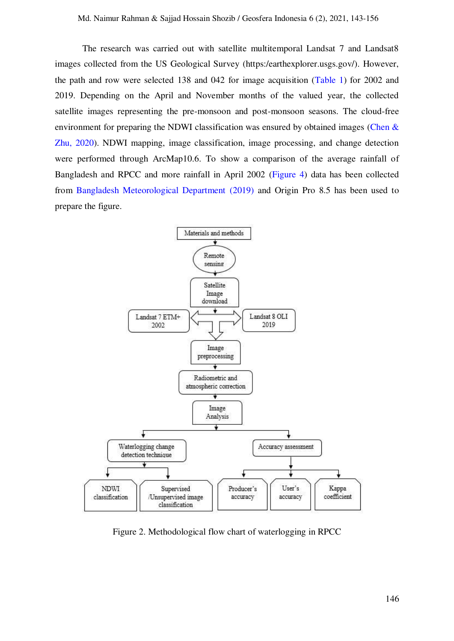The research was carried out with satellite multitemporal Landsat 7 and Landsat 8 images collected from the US Geological Survey (https:/earthexplorer.usgs.gov/). However, the path and row were selected 138 and 042 for image acquisition [\(Table 1\)](#page-4-0) for 2002 and 2019. Depending on the April and November months of the valued year, the collected satellite images representing the pre-monsoon and post-monsoon seasons. The cloud-free environment for preparing the NDWI classification was ensured by obtained images (Chen  $\&$ [Zhu, 2020\).](#page-10-6) NDWI mapping, image classification, image processing, and change detection were performed through ArcMap10.6. To show a comparison of the average rainfall of Bangladesh and RPCC and more rainfall in April 2002 [\(Figure 4\)](#page-7-0) data has been collected from [Bangladesh Meteorological Department \(2019\)](#page-10-7) and Origin Pro 8.5 has been used to prepare the figure.



Figure 2. Methodological flow chart of waterlogging in RPCC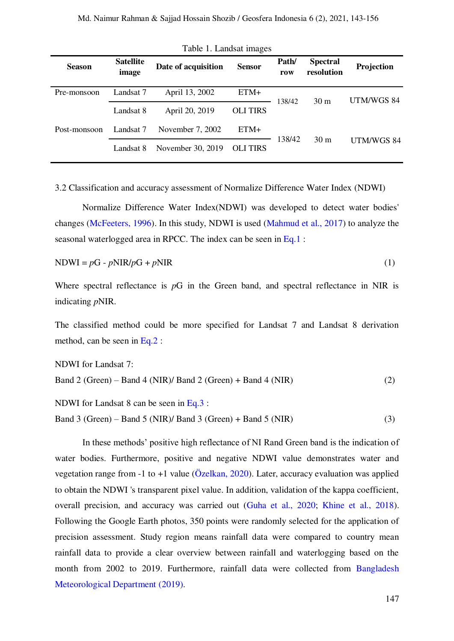<span id="page-4-0"></span>

| <b>Season</b> | <b>Satellite</b><br>image | Date of acquisition | <b>Sensor</b>   | Path/<br>row | <b>Spectral</b><br>resolution | Projection |  |
|---------------|---------------------------|---------------------|-----------------|--------------|-------------------------------|------------|--|
| Pre-monsoon   | Landsat 7                 | April 13, 2002      | ETM+            | 138/42       | 30 <sub>m</sub>               | UTM/WGS 84 |  |
|               | Landsat 8                 | April 20, 2019      | <b>OLI TIRS</b> |              |                               |            |  |
| Post-monsoon  | Landsat 7                 | November 7, 2002    | ETM+            | 138/42       | 30 <sub>m</sub>               | UTM/WGS 84 |  |
|               | Landsat 8                 | November 30, 2019   | <b>OLITIRS</b>  |              |                               |            |  |

<span id="page-4-1"></span>Table 1. Landsat images

3.2 Classification and accuracy assessment of Normalize Difference Water Index (NDWI)

Normalize Difference Water Index(NDWI) was developed to detect water bodies' changes [\(McFeeters, 1996\).](#page-11-7) In this study, NDWI is used [\(Mahmud et al., 2017\)](#page-11-4) to analyze the seasonal waterlogged area in RPCC. The index can be seen in [Eq.1](#page-4-1) :

$$
NDWI = pG - pNIR/pG + pNIR
$$
 (1)

Where spectral reflectance is *p*G in the Green band, and spectral reflectance in NIR is indicating *p*NIR.

The classified method could be more specified for Landsat 7 and Landsat 8 derivation method, can be seen in [Eq.2](#page-4-2) :

<span id="page-4-2"></span>NDWI for Landsat 7: Band 2 (Green) – Band 4 (NIR)/ Band 2 (Green) + Band 4 (NIR) (2)

NDWI for Landsat 8 can be seen in [Eq.3](#page-4-3) :

<span id="page-4-3"></span>Band 3 (Green) – Band 5 (NIR)/ Band 3 (Green) + Band 5 (NIR) (3)

In these methods' positive high reflectance of NI Rand Green band is the indication of water bodies. Furthermore, positive and negative NDWI value demonstrates water and vegetation range from -1 to +1 value ( $\ddot{O}$ zelkan, 2020). Later, accuracy evaluation was applied to obtain the NDWI 's transparent pixel value. In addition, validation of the kappa coefficient, overall precision, and accuracy was carried out [\(Guha et al., 2020;](#page-10-4) [Khine et al., 2018\)](#page-11-3). Following the Google Earth photos, 350 points were randomly selected for the application of precision assessment. Study region means rainfall data were compared to country mean rainfall data to provide a clear overview between rainfall and waterlogging based on the month from 2002 to 2019. Furthermore, rainfall data were collected from [Bangladesh](#page-10-7)  [Meteorological Department \(2019\).](#page-10-7)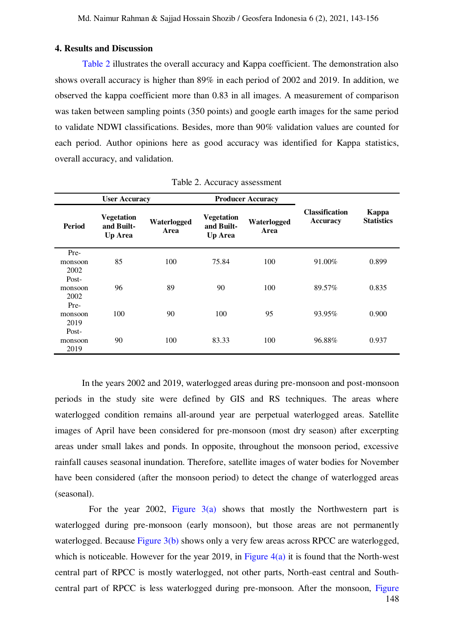### **4. Results and Discussion**

[Table 2](#page-5-0) illustrates the overall accuracy and Kappa coefficient. The demonstration also shows overall accuracy is higher than 89% in each period of 2002 and 2019. In addition, we observed the kappa coefficient more than 0.83 in all images. A measurement of comparison was taken between sampling points (350 points) and google earth images for the same period to validate NDWI classifications. Besides, more than 90% validation values are counted for each period. Author opinions here as good accuracy was identified for Kappa statistics, overall accuracy, and validation.

<span id="page-5-0"></span>

| <b>User Accuracy</b>     |                                                   |                     | <b>Producer Accuracy</b>                          |                     |                                          |                            |
|--------------------------|---------------------------------------------------|---------------------|---------------------------------------------------|---------------------|------------------------------------------|----------------------------|
| <b>Period</b>            | <b>Vegetation</b><br>and Built-<br><b>Up Area</b> | Waterlogged<br>Area | <b>Vegetation</b><br>and Built-<br><b>Up Area</b> | Waterlogged<br>Area | <b>Classification</b><br><b>Accuracy</b> | Kappa<br><b>Statistics</b> |
| Pre-<br>monsoon<br>2002  | 85                                                | 100                 | 75.84                                             | 100                 | 91.00%                                   | 0.899                      |
| Post-<br>monsoon<br>2002 | 96                                                | 89                  | 90                                                | 100                 | 89.57%                                   | 0.835                      |
| Pre-<br>monsoon<br>2019  | 100                                               | 90                  | 100                                               | 95                  | 93.95%                                   | 0.900                      |
| Post-<br>monsoon<br>2019 | 90                                                | 100                 | 83.33                                             | 100                 | 96.88%                                   | 0.937                      |

Table 2. Accuracy assessment

In the years 2002 and 2019, waterlogged areas during pre-monsoon and post-monsoon periods in the study site were defined by GIS and RS techniques. The areas where waterlogged condition remains all-around year are perpetual waterlogged areas. Satellite images of April have been considered for pre-monsoon (most dry season) after excerpting areas under small lakes and ponds. In opposite, throughout the monsoon period, excessive rainfall causes seasonal inundation. Therefore, satellite images of water bodies for November have been considered (after the monsoon period) to detect the change of waterlogged areas (seasonal).

148 For the year 2002, Figure  $3(a)$  shows that mostly the Northwestern part is waterlogged during pre-monsoon (early monsoon), but those areas are not permanently waterlogged. Because [Figure 3\(b\)](#page-6-1) shows only a very few areas across RPCC are waterlogged, which is noticeable. However for the year 2019, in Figure  $4(a)$  it is found that the North-west central part of RPCC is mostly waterlogged, not other parts, North-east central and Southcentral part of RPCC is less waterlogged during pre-monsoon. After the monsoon, [Figure](#page-7-2)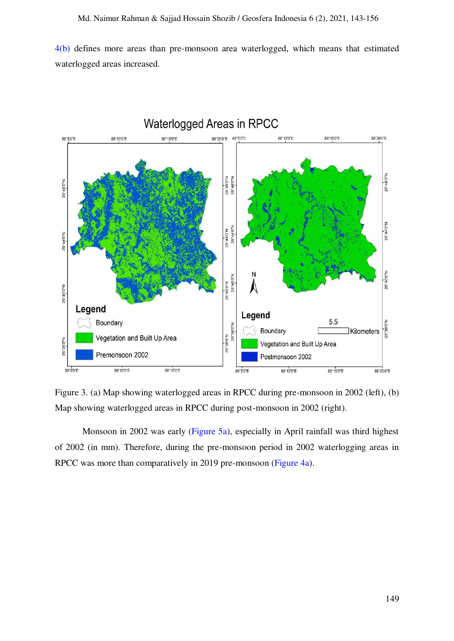[4\(b\)](#page-7-2) defines more areas than pre-monsoon area waterlogged, which means that estimated waterlogged areas increased.



<span id="page-6-1"></span><span id="page-6-0"></span>Figure 3. (a) Map showing waterlogged areas in RPCC during pre-monsoon in 2002 (left), (b) Map showing waterlogged areas in RPCC during post-monsoon in 2002 (right).

Monsoon in 2002 was early [\(Figure 5a\),](#page-7-0) especially in April rainfall was third highest of 2002 (in mm). Therefore, during the pre-monsoon period in 2002 waterlogging areas in RPCC was more than comparatively in 2019 pre-monsoon [\(Figure 4a\).](#page-7-1)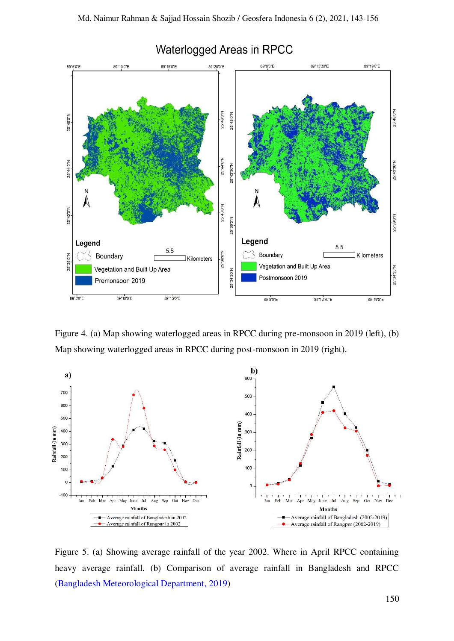

# Waterlogged Areas in RPCC

<span id="page-7-2"></span><span id="page-7-1"></span>Figure 4. (a) Map showing waterlogged areas in RPCC during pre-monsoon in 2019 (left), (b) Map showing waterlogged areas in RPCC during post-monsoon in 2019 (right).



<span id="page-7-0"></span>Figure 5. (a) Showing average rainfall of the year 2002. Where in April RPCC containing heavy average rainfall. (b) Comparison of average rainfall in Bangladesh and RPCC [\(Bangladesh Meteorological Department, 2019\)](#page-10-7)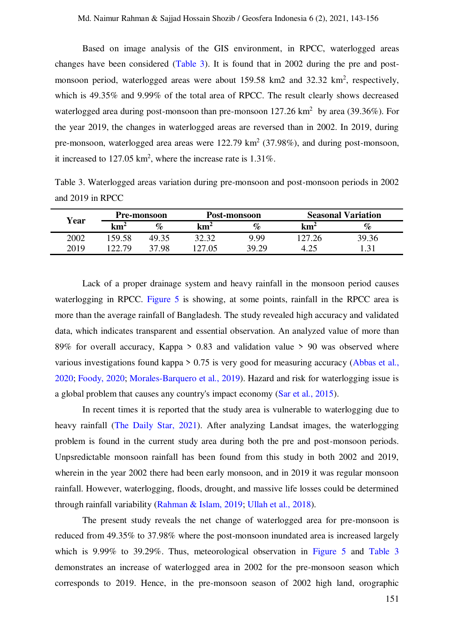Based on image analysis of the GIS environment, in RPCC, waterlogged areas changes have been considered [\(Table 3\).](#page-8-0) It is found that in 2002 during the pre and postmonsoon period, waterlogged areas were about 159.58 km2 and 32.32 km<sup>2</sup>, respectively, which is 49.35% and 9.99% of the total area of RPCC. The result clearly shows decreased waterlogged area during post-monsoon than pre-monsoon  $127.26 \text{ km}^2$  by area (39.36%). For the year 2019, the changes in waterlogged areas are reversed than in 2002. In 2019, during pre-monsoon, waterlogged area areas were  $122.79 \text{ km}^2$  (37.98%), and during post-monsoon, it increased to  $127.05 \text{ km}^2$ , where the increase rate is  $1.31\%$ .

<span id="page-8-0"></span>Table 3. Waterlogged areas variation during pre-monsoon and post-monsoon periods in 2002 and 2019 in RPCC

| Year |        | <b>Pre-monsoon</b> |        | Post-monsoon |            | <b>Seasonal Variation</b> |  |
|------|--------|--------------------|--------|--------------|------------|---------------------------|--|
|      | kmź    | $\%$               | $km^2$ | $\%$         | $\rm km^2$ | %                         |  |
| 2002 | 159.58 | 49.35              | 20 20  | 9.99         | 27 26      | 39.36                     |  |
| 2019 | 22.79  | 37.98              | .27.05 | 39.29        |            |                           |  |

Lack of a proper drainage system and heavy rainfall in the monsoon period causes waterlogging in RPCC. [Figure 5](#page-7-0) is showing, at some points, rainfall in the RPCC area is more than the average rainfall of Bangladesh. The study revealed high accuracy and validated data, which indicates transparent and essential observation. An analyzed value of more than 89% for overall accuracy, Kappa  $> 0.83$  and validation value  $> 90$  was observed where various investigations found kappa > 0.75 is very good for measuring accuracy [\(Abbas et al.,](#page-10-8)  [2020;](#page-10-8) [Foody, 2020;](#page-10-9) [Morales-Barquero et al., 2019\)](#page-11-8). Hazard and risk for waterlogging issue is a global problem that causes any country's impact economy [\(Sar et al., 2015\).](#page-12-6)

In recent times it is reported that the study area is vulnerable to waterlogging due to heavy rainfall [\(The Daily Star, 2021\)](#page-12-8). After analyzing Landsat images, the waterlogging problem is found in the current study area during both the pre and post-monsoon periods. Unpsredictable monsoon rainfall has been found from this study in both 2002 and 2019, wherein in the year 2002 there had been early monsoon, and in 2019 it was regular monsoon rainfall. However, waterlogging, floods, drought, and massive life losses could be determined through rainfall variability [\(Rahman & Islam, 2019;](#page-12-9) [Ullah et al., 2018\)](#page-13-1).

The present study reveals the net change of waterlogged area for pre-monsoon is reduced from 49.35% to 37.98% where the post-monsoon inundated area is increased largely which is 9.99% to 39.29%. Thus, meteorological observation in [Figure 5](#page-7-0) and [Table 3](#page-8-0) demonstrates an increase of waterlogged area in 2002 for the pre-monsoon season which corresponds to 2019. Hence, in the pre-monsoon season of 2002 high land, orographic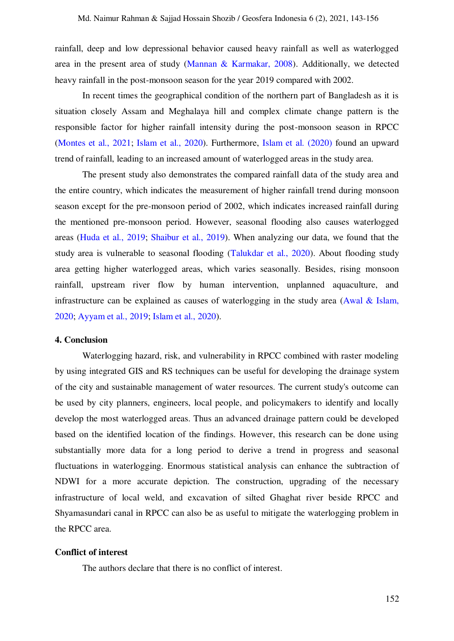rainfall, deep and low depressional behavior caused heavy rainfall as well as waterlogged area in the present area of study [\(Mannan & Karmakar, 2008\).](#page-11-9) Additionally, we detected heavy rainfall in the post-monsoon season for the year 2019 compared with 2002.

In recent times the geographical condition of the northern part of Bangladesh as it is situation closely Assam and Meghalaya hill and complex climate change pattern is the responsible factor for higher rainfall intensity during the post-monsoon season in RPCC [\(Montes et al., 2021;](#page-11-10) Islam et al., 2020). Furthermore, [Islam et al. \(2020\)](#page-11-11) found an upward trend of rainfall, leading to an increased amount of waterlogged areas in the study area.

The present study also demonstrates the compared rainfall data of the study area and the entire country, which indicates the measurement of higher rainfall trend during monsoon season except for the pre-monsoon period of 2002, which indicates increased rainfall during the mentioned pre-monsoon period. However, seasonal flooding also causes waterlogged areas [\(Huda et al., 2019;](#page-11-12) [Shaibur et al., 2019\)](#page-12-5). When analyzing our data, we found that the study area is vulnerable to seasonal flooding [\(Talukdar et al., 2020\).](#page-12-10) About flooding study area getting higher waterlogged areas, which varies seasonally. Besides, rising monsoon rainfall, upstream river flow by human intervention, unplanned aquaculture, and infrastructure can be explained as causes of waterlogging in the study area [\(Awal & Islam,](#page-10-5)  [2020;](#page-10-5) [Ayyam et al., 2019;](#page-10-10) [Islam et al., 2020\)](#page-11-5).

### **4. Conclusion**

Waterlogging hazard, risk, and vulnerability in RPCC combined with raster modeling by using integrated GIS and RS techniques can be useful for developing the drainage system of the city and sustainable management of water resources. The current study's outcome can be used by city planners, engineers, local people, and policymakers to identify and locally develop the most waterlogged areas. Thus an advanced drainage pattern could be developed based on the identified location of the findings. However, this research can be done using substantially more data for a long period to derive a trend in progress and seasonal fluctuations in waterlogging. Enormous statistical analysis can enhance the subtraction of NDWI for a more accurate depiction. The construction, upgrading of the necessary infrastructure of local weld, and excavation of silted Ghaghat river beside RPCC and Shyamasundari canal in RPCC can also be as useful to mitigate the waterlogging problem in the RPCC area.

#### **Conflict of interest**

The authors declare that there is no conflict of interest.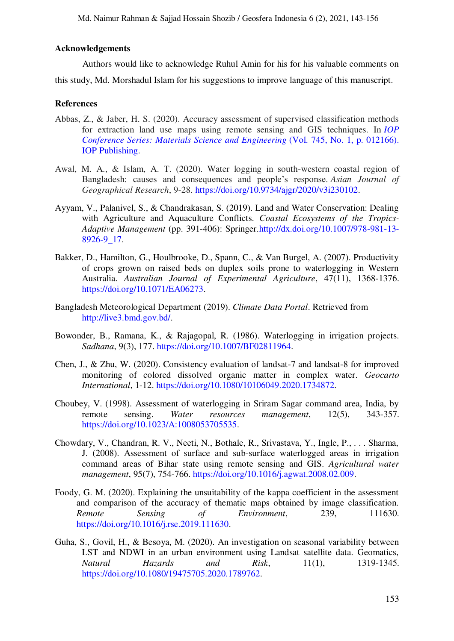Md. Naimur Rahman & Sajjad Hossain Shozib / Geosfera Indonesia 6 (2), 2021, 143-156

## **Acknowledgements**

Authors would like to acknowledge Ruhul Amin for his for his valuable comments on this study, Md. Morshadul Islam for his suggestions to improve language of this manuscript.

#### **References**

- <span id="page-10-8"></span>Abbas, Z., & Jaber, H. S. (2020). Accuracy assessment of supervised classification methods for extraction land use maps using remote sensing and GIS techniques. In *[IOP](https://iopscience.iop.org/article/10.1088/1757-899X/745/1/012166/meta)  [Conference Series: Materials Science and Engineering](https://iopscience.iop.org/article/10.1088/1757-899X/745/1/012166/meta)* (Vol. 745, No. 1, p. 012166). [IOP Publishing.](https://iopscience.iop.org/article/10.1088/1757-899X/745/1/012166/meta)
- <span id="page-10-5"></span>Awal, M. A., & Islam, A. T. (2020). Water logging in south-western coastal region of Bangladesh: causes and consequences and people's response. *Asian Journal of Geographical Research*, 9-28. [https://doi.org/10.9734/ajgr/2020/v3i230102.](https://doi.org/10.9734/ajgr/2020/v3i230102)
- <span id="page-10-10"></span>Ayyam, V., Palanivel, S., & Chandrakasan, S. (2019). Land and Water Conservation: Dealing with Agriculture and Aquaculture Conflicts. *Coastal Ecosystems of the Tropics-Adaptive Management* (pp. 391-406): Springer[.http://dx.doi.org/10.1007/978-981-13-](http://dx.doi.org/10.1007/978-981-13-8926​-9_17) [8926-9\\_17.](http://dx.doi.org/10.1007/978-981-13-8926​-9_17)
- <span id="page-10-0"></span>Bakker, D., Hamilton, G., Houlbrooke, D., Spann, C., & Van Burgel, A. (2007). Productivity of crops grown on raised beds on duplex soils prone to waterlogging in Western Australia. *Australian Journal of Experimental Agriculture*, 47(11), 1368-1376. [https://doi.org/10.1071/EA06273.](https://doi.org/10.1071/EA06273)
- <span id="page-10-7"></span>Bangladesh Meteorological Department (2019). *Climate Data Portal*. Retrieved from [http://live3.bmd.gov.bd/.](http://live3.bmd.gov.bd/)
- <span id="page-10-1"></span>Bowonder, B., Ramana, K., & Rajagopal, R. (1986). Waterlogging in irrigation projects. *Sadhana*, 9(3), 177. [https://doi.org/10.1007/BF02811964.](https://doi.org/10.1007/BF02811964)
- <span id="page-10-6"></span>Chen, J., & Zhu, W. (2020). Consistency evaluation of landsat-7 and landsat-8 for improved monitoring of colored dissolved organic matter in complex water. *Geocarto International*, 1-12. [https://doi.org/10.1080/10106049.2020.1734872.](https://doi.org/10.1080/10106049.2020.1734872)
- <span id="page-10-2"></span>Choubey, V. (1998). Assessment of waterlogging in Sriram Sagar command area, India, by remote sensing. *Water resources management*, 12(5), 343-357. [https://doi.org/10.1023/A:1008053705535.](https://doi.org/10.1023/A:1008053705535)
- <span id="page-10-3"></span>Chowdary, V., Chandran, R. V., Neeti, N., Bothale, R., Srivastava, Y., Ingle, P., . . . Sharma, J. (2008). Assessment of surface and sub-surface waterlogged areas in irrigation command areas of Bihar state using remote sensing and GIS. *Agricultural water management*, 95(7), 754-766. [https://doi.org/10.1016/j.agwat.2008.02.009.](https://doi.org/10.1016/j.agwat.2008.02.009)
- <span id="page-10-9"></span>Foody, G. M. (2020). Explaining the unsuitability of the kappa coefficient in the assessment and comparison of the accuracy of thematic maps obtained by image classification. *Remote Sensing of Environment*, 239, 111630. [https://doi.org/10.1016/j.rse.2019.111630.](https://doi.org/10.1016/j.rse.2019.111630)
- <span id="page-10-4"></span>Guha, S., Govil, H., & Besoya, M. (2020). An investigation on seasonal variability between LST and NDWI in an urban environment using Landsat satellite data. Geomatics, *Natural Hazards and Risk*, 11(1), 1319-1345. [https://doi.org/10.1080/19475705.2020.1789762.](https://doi.org/10.1080/19475705.2020.1789762)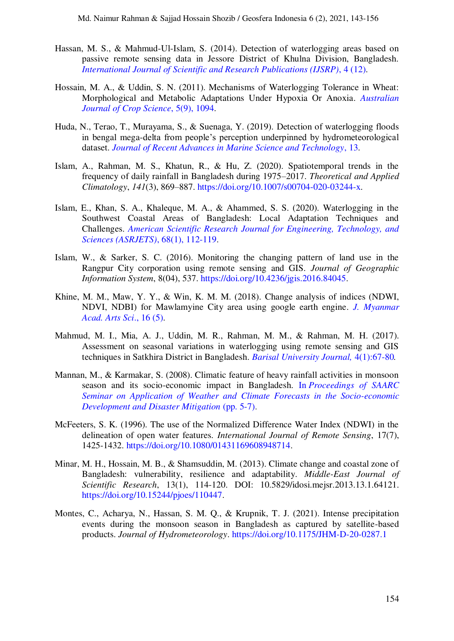- <span id="page-11-2"></span>Hassan, M. S., & Mahmud-Ul-Islam, S. (2014). Detection of waterlogging areas based on passive remote sensing data in Jessore District of Khulna Division, Bangladesh. *[International Journal of Scientific and Research Publications \(IJSRP\)](http://www.ijsrp.org/research-paper-1214.php?rp=P363487)*, 4 (12).
- <span id="page-11-0"></span>Hossain, M. A., & Uddin, S. N. (2011). Mechanisms of Waterlogging Tolerance in Wheat: Morphological and Metabolic Adaptations Under Hypoxia Or Anoxia. *[Australian](https://www.cropj.com/alamgir_5_9_2011_1094_1101.pdf)  [Journal of Crop Science](https://www.cropj.com/alamgir_5_9_2011_1094_1101.pdf)*, 5(9), 1094.
- <span id="page-11-12"></span>Huda, N., Terao, T., Murayama, S., & Suenaga, Y. (2019). Detection of waterlogging floods in bengal mega-delta from people's perception underpinned by hydrometeorological dataset. *[Journal of Recent Advances in Marine Science and Technology](https://www.researchgate.net/publication/346937518_DETECTION_OF_WATERLOGGING_FLOODS_IN_BENGAL_MEGA-DELTA_FROM_PEOPLE)*, 13.
- <span id="page-11-11"></span><span id="page-11-5"></span>Islam, A., Rahman, M. S., Khatun, R., & Hu, Z. (2020). Spatiotemporal trends in the frequency of daily rainfall in Bangladesh during 1975–2017. *Theoretical and Applied Climatology*, *141*(3), 869–887. [https://doi.org/10.1007/s00704-020-03244-x.](https://doi.org/10.1007/s00704-020-03244-x)
- Islam, E., Khan, S. A., Khaleque, M. A., & Ahammed, S. S. (2020). Waterlogging in the Southwest Coastal Areas of Bangladesh: Local Adaptation Techniques and Challenges. *[American Scientific Research Journal for Engineering, Technology, and](https://asrjetsjournal.org/index.php/American_Scientific_Journal/article/view/5882)  [Sciences \(ASRJETS\)](https://asrjetsjournal.org/index.php/American_Scientific_Journal/article/view/5882)*, 68(1), 112-119.
- <span id="page-11-6"></span>Islam, W., & Sarker, S. C. (2016). Monitoring the changing pattern of land use in the Rangpur City corporation using remote sensing and GIS. *Journal of Geographic Information System*, 8(04), 537. [https://doi.org/10.4236/jgis.2016.84045.](https://doi.org/10.4236/jgis.2016.84045)
- <span id="page-11-3"></span>Khine, M. M., Maw, Y. Y., & Win, K. M. M. (2018). Change analysis of indices (NDWI, NDVI, NDBI) for Mawlamyine City area using google earth engine. *[J. Myanmar](http://maas.edu.mm/Research/Admin/pdf/16.%20Myo%20Myo%20Khine%20(297-314).pdf)  [Acad. Arts Sci](http://maas.edu.mm/Research/Admin/pdf/16.%20Myo%20Myo%20Khine%20(297-314).pdf)*., 16 (5).
- <span id="page-11-4"></span>Mahmud, M. I., Mia, A. J., Uddin, M. R., Rahman, M. M., & Rahman, M. H. (2017). Assessment on seasonal variations in waterlogging using remote sensing and GIS techniques in Satkhira District in Bangladesh. *[Barisal University Journal,](https://bu.ac.bd/uploads/BUJ1V4I1/7.%20Illias%20Mahmud.pdf.)* 4(1):67-80*.*
- <span id="page-11-9"></span>Mannan, M., & Karmakar, S. (2008). Climatic feature of heavy rainfall activities in monsoon season and its socio-economic impact in Bangladesh. In *[Proceedings of SAARC](https://www.researchgate.net/profile/Samarendra-Karmakar/publication/288989212_Climatic_feature_of_heavy_rainfall_activities_in_monsoon_season_and_its_socio-economic_impact_in_Bangladesh/links/5687fbdd08aebccc4e1550b5/Climatic-feature-of-heavy-rainfall-act)  [Seminar on Application of Weather and Climate Forecasts in the Socio-economic](https://www.researchgate.net/profile/Samarendra-Karmakar/publication/288989212_Climatic_feature_of_heavy_rainfall_activities_in_monsoon_season_and_its_socio-economic_impact_in_Bangladesh/links/5687fbdd08aebccc4e1550b5/Climatic-feature-of-heavy-rainfall-act)  [Development and Disaster Mitigation](https://www.researchgate.net/profile/Samarendra-Karmakar/publication/288989212_Climatic_feature_of_heavy_rainfall_activities_in_monsoon_season_and_its_socio-economic_impact_in_Bangladesh/links/5687fbdd08aebccc4e1550b5/Climatic-feature-of-heavy-rainfall-act)* (pp. 5-7).
- <span id="page-11-7"></span>McFeeters, S. K. (1996). The use of the Normalized Difference Water Index (NDWI) in the delineation of open water features. *International Journal of Remote Sensing*, 17(7), 1425-1432. [https://doi.org/10.1080/01431169608948714.](https://doi.org/10.1080/01431169608948714)
- <span id="page-11-1"></span>Minar, M. H., Hossain, M. B., & Shamsuddin, M. (2013). Climate change and coastal zone of Bangladesh: vulnerability, resilience and adaptability. *Middle-East Journal of Scientific Research*, 13(1), 114-120. DOI: 10.5829/idosi.mejsr.2013.13.1.64121. [https://doi.org/10.15244/pjoes/110447.](https://doi.org/10.15244/pjoes/110447)
- <span id="page-11-10"></span><span id="page-11-8"></span>Montes, C., Acharya, N., Hassan, S. M. Q., & Krupnik, T. J. (2021). Intense precipitation events during the monsoon season in Bangladesh as captured by satellite-based products. *Journal of Hydrometeorology*.<https://doi.org/10.1175/JHM-D-20-0287.1>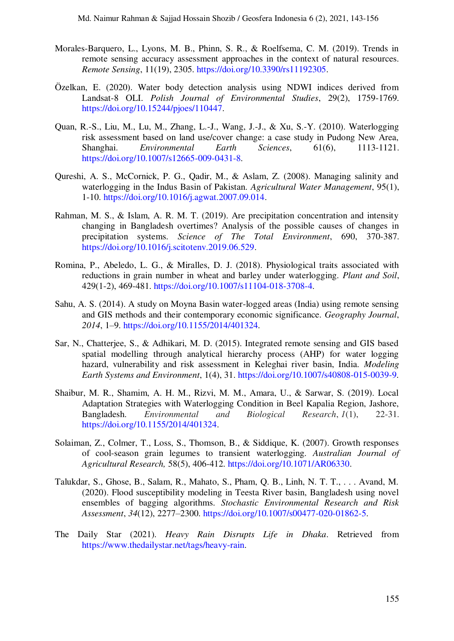- Morales-Barquero, L., Lyons, M. B., Phinn, S. R., & Roelfsema, C. M. (2019). Trends in remote sensing accuracy assessment approaches in the context of natural resources. *Remote Sensing*, 11(19), 2305. [https://doi.org/10.3390/rs11192305.](https://doi.org/10.3390/rs11192305)
- <span id="page-12-7"></span>Özelkan, E. (2020). Water body detection analysis using NDWI indices derived from Landsat-8 OLI. *Polish Journal of Environmental Studies*, 29(2), 1759-1769. [https://doi.org/10.15244/pjoes/110447.](https://doi.org/10.15244/pjoes/110447)
- <span id="page-12-3"></span>Quan, R.-S., Liu, M., Lu, M., Zhang, L.-J., Wang, J.-J., & Xu, S.-Y. (2010). Waterlogging risk assessment based on land use/cover change: a case study in Pudong New Area, Shanghai. *Environmental Earth Sciences*, 61(6), 1113-1121. [https://doi.org/10.1007/s12665-009-0431-8.](https://doi.org/10.1007/s12665-009-0431-8)
- <span id="page-12-4"></span>Qureshi, A. S., McCornick, P. G., Qadir, M., & Aslam, Z. (2008). Managing salinity and waterlogging in the Indus Basin of Pakistan. *Agricultural Water Management*, 95(1), 1-10. [https://doi.org/10.1016/j.agwat.2007.09.014.](https://doi.org/10.1016/j.agwat.2007.09.014)
- <span id="page-12-9"></span>Rahman, M. S., & Islam, A. R. M. T. (2019). Are precipitation concentration and intensity changing in Bangladesh overtimes? Analysis of the possible causes of changes in precipitation systems. *Science of The Total Environment*, 690, 370-387. [https://doi.org/10.1016/j.scitotenv.2019.06.529.](https://doi.org/10.1016/j.scitotenv.2019.06.529)
- <span id="page-12-0"></span>Romina, P., Abeledo, L. G., & Miralles, D. J. (2018). Physiological traits associated with reductions in grain number in wheat and barley under waterlogging. *Plant and Soil*, 429(1-2), 469-481. [https://doi.org/10.1007/s11104-018-3708-4.](https://doi.org/10.1007/s11104-018-3708-4)
- <span id="page-12-2"></span>Sahu, A. S. (2014). A study on Moyna Basin water-logged areas (India) using remote sensing and GIS methods and their contemporary economic significance. *Geography Journal*, *2014*, 1–9. [https://doi.org/10.1155/2014/401324.](https://doi.org/10.1155/2014/401324)
- <span id="page-12-6"></span>Sar, N., Chatterjee, S., & Adhikari, M. D. (2015). Integrated remote sensing and GIS based spatial modelling through analytical hierarchy process (AHP) for water logging hazard, vulnerability and risk assessment in Keleghai river basin, India. *Modeling Earth Systems and Environment*, 1(4), 31. [https://doi.org/10.1007/s40808-015-0039-9.](https://doi.org/10.1007/s40808-015-0039-9)
- <span id="page-12-5"></span>Shaibur, M. R., Shamim, A. H. M., Rizvi, M. M., Amara, U., & Sarwar, S. (2019). Local Adaptation Strategies with Waterlogging Condition in Beel Kapalia Region, Jashore, Bangladesh. *Environmental and Biological Research*, *1*(1), 22-31. [https://doi.org/10.1155/2014/401324.](https://doi.org/10.1155/2014/401324)
- <span id="page-12-1"></span>Solaiman, Z., Colmer, T., Loss, S., Thomson, B., & Siddique, K. (2007). Growth responses of cool-season grain legumes to transient waterlogging. *Australian Journal of Agricultural Research,* 58(5), 406-412. [https://doi.org/10.1071/AR06330.](https://doi.org/10.1071/AR06330)
- <span id="page-12-10"></span>Talukdar, S., Ghose, B., Salam, R., Mahato, S., Pham, Q. B., Linh, N. T. T., . . . Avand, M. (2020). Flood susceptibility modeling in Teesta River basin, Bangladesh using novel ensembles of bagging algorithms. *Stochastic Environmental Research and Risk Assessment*, *34*(12), 2277–2300. [https://doi.org/10.1007/s00477-020-01862-5.](https://doi.org/10.1007/s00477-020-01862-5)
- <span id="page-12-8"></span>The Daily Star (2021). *Heavy Rain Disrupts Life in Dhaka*. Retrieved from [https://www.thedailystar.net/tags/heavy-rain.](https://www.thedailystar.net/tags/heavy-rain)